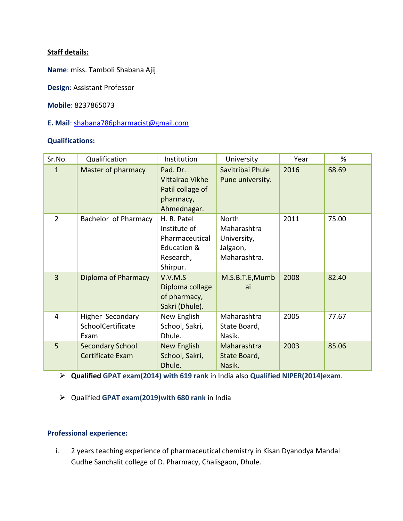# **Staff details:**

**Name**: miss. Tamboli Shabana Ajij

**Design**: Assistant Professor

**Mobile**: 8237865073

**E. Mail**: [shabana786pharmacist@gmail.com](mailto:shabana786pharmacist@gmail.com)

#### **Qualifications:**

| Sr.No.         | Qualification                                 | Institution                                                                           | University                                                             | Year | %     |
|----------------|-----------------------------------------------|---------------------------------------------------------------------------------------|------------------------------------------------------------------------|------|-------|
| $\mathbf{1}$   | Master of pharmacy                            | Pad. Dr.<br>Vittalrao Vikhe<br>Patil collage of<br>pharmacy,<br>Ahmednagar.           | Savitribai Phule<br>Pune university.                                   | 2016 | 68.69 |
| $\overline{2}$ | Bachelor of Pharmacy                          | H. R. Patel<br>Institute of<br>Pharmaceutical<br>Education &<br>Research,<br>Shirpur. | <b>North</b><br>Maharashtra<br>University,<br>Jalgaon,<br>Maharashtra. | 2011 | 75.00 |
| $\overline{3}$ | Diploma of Pharmacy                           | V.V.M.S<br>Diploma collage<br>of pharmacy,<br>Sakri (Dhule).                          | M.S.B.T.E,Mumb<br>ai                                                   | 2008 | 82.40 |
| 4              | Higher Secondary<br>SchoolCertificate<br>Exam | New English<br>School, Sakri,<br>Dhule.                                               | Maharashtra<br>State Board,<br>Nasik.                                  | 2005 | 77.67 |
| 5              | <b>Secondary School</b><br>Certificate Exam   | <b>New English</b><br>School, Sakri,<br>Dhule.                                        | Maharashtra<br>State Board,<br>Nasik.                                  | 2003 | 85.06 |

➢ **Qualified GPAT exam(2014) with 619 rank** in India also **Qualified NIPER(2014)exam**.

➢ Qualified **GPAT exam(2019)with 680 rank** in India

## **Professional experience:**

i. 2 years teaching experience of pharmaceutical chemistry in Kisan Dyanodya Mandal Gudhe Sanchalit college of D. Pharmacy, Chalisgaon, Dhule.